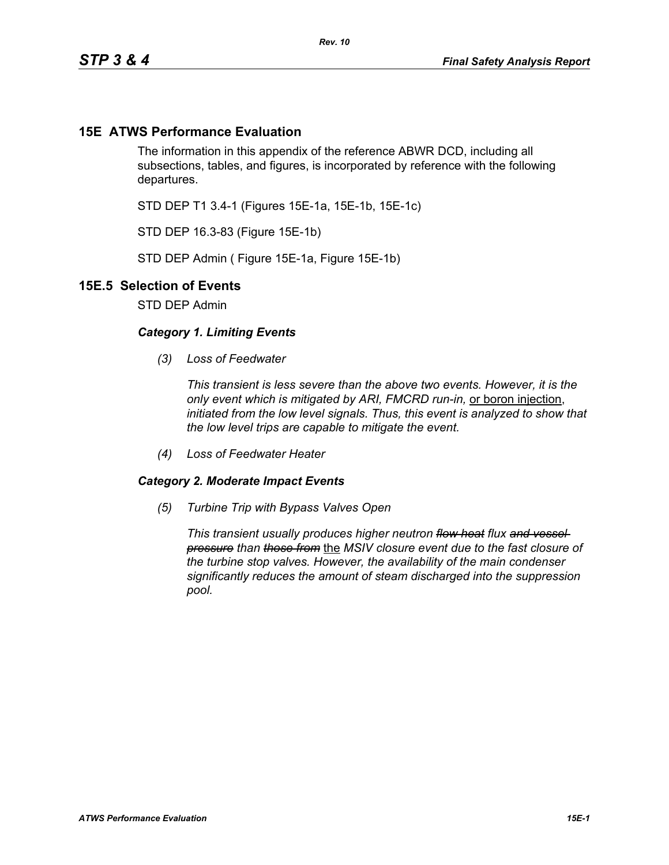## **15E ATWS Performance Evaluation**

The information in this appendix of the reference ABWR DCD, including all subsections, tables, and figures, is incorporated by reference with the following departures.

STD DEP T1 3.4-1 (Figures 15E-1a, 15E-1b, 15E-1c)

STD DEP 16.3-83 (Figure 15E-1b)

STD DEP Admin ( Figure 15E-1a, Figure 15E-1b)

## **15E.5 Selection of Events**

STD DEP Admin

## *Category 1. Limiting Events*

*(3) Loss of Feedwater*

*This transient is less severe than the above two events. However, it is the only event which is mitigated by ARI, FMCRD run-in,* or boron injection, *initiated from the low level signals. Thus, this event is analyzed to show that the low level trips are capable to mitigate the event.*

*(4) Loss of Feedwater Heater*

## *Category 2. Moderate Impact Events*

*(5) Turbine Trip with Bypass Valves Open*

*This transient usually produces higher neutron flow heat flux and vessel pressure than those from* the *MSIV closure event due to the fast closure of the turbine stop valves. However, the availability of the main condenser significantly reduces the amount of steam discharged into the suppression pool.*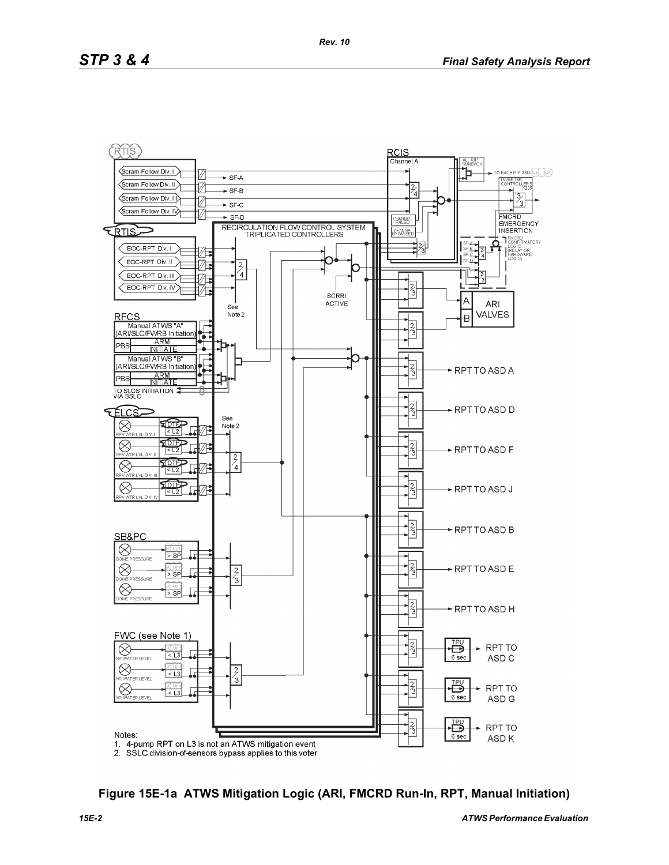

**Figure 15E-1a ATWS Mitigation Logic (ARI, FMCRD Run-In, RPT, Manual Initiation)**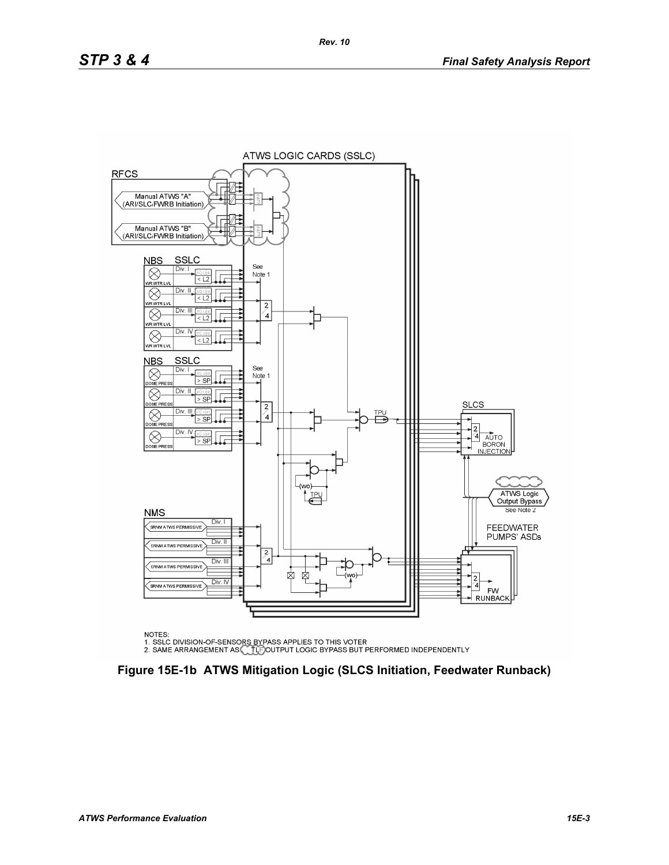

NOTES:

NOTES.<br>1. SSLC DIVISION-OF-SENSORS BYPASS APPLIES TO THIS VOTER<br>2. SAME ARRANGEMENT AS CLEIGOUTPUT LOGIC BYPASS BUT PERFORMED INDEPENDENTLY

**Figure 15E-1b ATWS Mitigation Logic (SLCS Initiation, Feedwater Runback)**